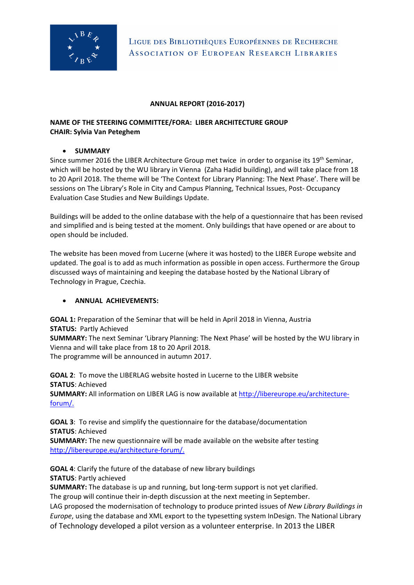

## **ANNUAL REPORT (2016-2017)**

## **NAME OF THE STEERING COMMITTEE/FORA: LIBER ARCHITECTURE GROUP CHAIR: Sylvia Van Peteghem**

## • **SUMMARY**

Since summer 2016 the LIBER Architecture Group met twice in order to organise its 19<sup>th</sup> Seminar, which will be hosted by the WU library in Vienna (Zaha Hadid building), and will take place from 18 to 20 April 2018. The theme will be 'The Context for Library Planning: The Next Phase'. There will be sessions on The Library's Role in City and Campus Planning, Technical Issues, Post- Occupancy Evaluation Case Studies and New Buildings Update.

Buildings will be added to the online database with the help of a questionnaire that has been revised and simplified and is being tested at the moment. Only buildings that have opened or are about to open should be included.

The website has been moved from Lucerne (where it was hosted) to the LIBER Europe website and updated. The goal is to add as much information as possible in open access. Furthermore the Group discussed ways of maintaining and keeping the database hosted by the National Library of Technology in Prague, Czechia.

## • **ANNUAL ACHIEVEMENTS:**

**GOAL 1:** Preparation of the Seminar that will be held in April 2018 in Vienna, Austria **STATUS:** Partly Achieved

**SUMMARY:** The next Seminar 'Library Planning: The Next Phase' will be hosted by the WU library in Vienna and will take place from 18 to 20 April 2018. The programme will be announced in autumn 2017.

**GOAL 2**: To move the LIBERLAG website hosted in Lucerne to the LIBER website **STATUS**: Achieved

**SUMMARY:** All information on LIBER LAG is now available at [http://libereurope.eu/architecture](http://libereurope.eu/architecture-forum/)[forum/.](http://libereurope.eu/architecture-forum/)

**GOAL 3**: To revise and simplify the questionnaire for the database/documentation **STATUS**: Achieved

**SUMMARY:** The new questionnaire will be made available on the website after testing [http://libereurope.eu/architecture-forum/.](http://libereurope.eu/architecture-forum/)

**GOAL 4**: Clarify the future of the database of new library buildings **STATUS**: Partly achieved

**SUMMARY:** The database is up and running, but long-term support is not yet clarified. The group will continue their in-depth discussion at the next meeting in September.

LAG proposed the modernisation of technology to produce printed issues of *New Library Buildings in Europe*, using the database and XML export to the typesetting system InDesign. The National Library of Technology developed a pilot version as a volunteer enterprise. In 2013 the LIBER